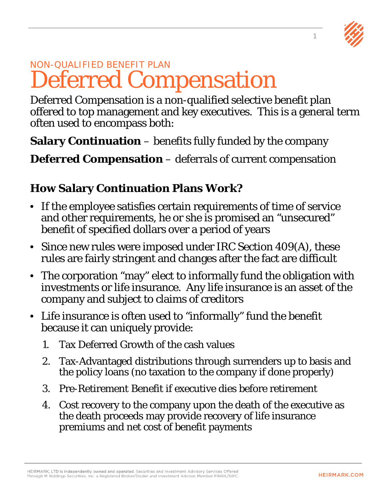

## NON-QUALIFIED BENEFIT PLAN Deferred Compensation

Deferred Compensation is a non-qualified selective benefit plan offered to top management and key executives. This is a general term often used to encompass both:

**Salary Continuation** – benefits fully funded by the company

**Deferred Compensation** – deferrals of current compensation

## **How Salary Continuation Plans Work?**

- If the employee satisfies certain requirements of time of service and other requirements, he or she is promised an "unsecured" benefit of specified dollars over a period of years
- Since new rules were imposed under IRC Section 409(A), these rules are fairly stringent and changes after the fact are difficult
- The corporation "may" elect to informally fund the obligation with investments or life insurance. Any life insurance is an asset of the company and subject to claims of creditors
- Life insurance is often used to "informally" fund the benefit because it can uniquely provide:
	- 1. Tax Deferred Growth of the cash values
	- 2. Tax-Advantaged distributions through surrenders up to basis and the policy loans (no taxation to the company if done properly)
	- 3. Pre-Retirement Benefit if executive dies before retirement
	- 4. Cost recovery to the company upon the death of the executive as the death proceeds may provide recovery of life insurance premiums and net cost of benefit payments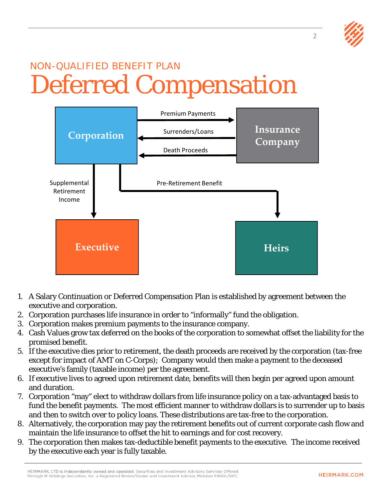## NON-QUALIFIED BENEFIT PLAN Deferred Compensation



- 1. A Salary Continuation or Deferred Compensation Plan is established by agreement between the executive and corporation.
- 2. Corporation purchases life insurance in order to "informally" fund the obligation.
- 3. Corporation makes premium payments to the insurance company.
- 4. Cash Values grow tax deferred on the books of the corporation to somewhat offset the liability for the promised benefit.
- 5. If the executive dies prior to retirement, the death proceeds are received by the corporation (tax-free except for impact of AMT on C-Corps); Company would then make a payment to the deceased executive's family (taxable income) per the agreement.
- 6. If executive lives to agreed upon retirement date, benefits will then begin per agreed upon amount and duration.
- 7. Corporation "may" elect to withdraw dollars from life insurance policy on a tax-advantaged basis to fund the benefit payments. The most efficient manner to withdraw dollars is to surrender up to basis and then to switch over to policy loans. These distributions are tax-free to the corporation.
- 8. Alternatively, the corporation may pay the retirement benefits out of current corporate cash flow and maintain the life insurance to offset the hit to earnings and for cost recovery.
- 9. The corporation then makes tax-deductible benefit payments to the executive. The income received by the executive each year is fully taxable.